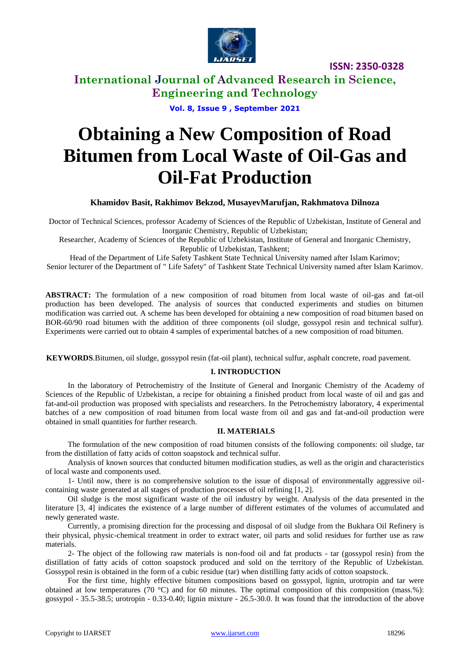

**ISSN: 2350-0328**

**International Journal of Advanced Research in Science, Engineering and Technology**

**Vol. 8, Issue 9 , September 2021**

# **Obtaining a New Composition of Road Bitumen from Local Waste of Oil-Gas and Oil-Fat Production**

**Khamidov Basit, Rakhimov Bekzod, MusayevMarufjan, Rakhmatova Dilnoza**

Doctor of Technical Sciences, professor Academy of Sciences of the Republic of Uzbekistan, Institute of General and Inorganic Chemistry, Republic of Uzbekistan;

Researcher, Academy of Sciences of the Republic of Uzbekistan, Institute of General and Inorganic Chemistry, Republic of Uzbekistan, Tashkent;

Head of the Department of Life Safety Tashkent State Technical University named after Islam Karimov; Senior lecturer of the Department of " Life Safety" of Tashkent State Technical University named after Islam Karimov.

**ABSTRACT:** The formulation of a new composition of road bitumen from local waste of oil-gas and fat-oil production has been developed. The analysis of sources that conducted experiments and studies on bitumen modification was carried out. A scheme has been developed for obtaining a new composition of road bitumen based on BОR-60/90 road bitumen with the addition of three components (oil sludge, gossypol resin and technical sulfur). Experiments were carried out to obtain 4 samples of experimental batches of a new composition of road bitumen.

**KEYWORDS**.Bitumen, oil sludge, gossypol resin (fat-oil plant), technical sulfur, asphalt concrete, road pavement.

# **I. INTRODUCTION**

In the laboratory of Petrochemistry of the Institute of General and Inorganic Chemistry of the Academy of Sciences of the Republic of Uzbekistan, a recipe for obtaining a finished product from local waste of oil and gas and fat-and-oil production was proposed with specialists and researchers. In the Petrochemistry laboratory, 4 experimental batches of a new composition of road bitumen from local waste from oil and gas and fat-and-oil production were obtained in small quantities for further research.

### **II. MATERIALS**

The formulation of the new composition of road bitumen consists of the following components: oil sludge, tar from the distillation of fatty acids of cotton soapstock and technical sulfur.

Analysis of known sources that conducted bitumen modification studies, as well as the origin and characteristics of local waste and components used.

1- Until now, there is no comprehensive solution to the issue of disposal of environmentally aggressive oilcontaining waste generated at all stages of production processes of oil refining [1, 2].

Oil sludge is the most significant waste of the oil industry by weight. Analysis of the data presented in the literature [3, 4] indicates the existence of a large number of different estimates of the volumes of accumulated and newly generated waste.

Currently, a promising direction for the processing and disposal of oil sludge from the Bukhara Oil Refinery is their physical, physic-chemical treatment in order to extract water, oil parts and solid residues for further use as raw materials.

2- The object of the following raw materials is non-food oil and fat products - tar (gossypol resin) from the distillation of fatty acids of cotton soapstock produced and sold on the territory of the Republic of Uzbekistan. Gossypol resin is obtained in the form of a cubic residue (tar) when distilling fatty acids of cotton soapstock.

For the first time, highly effective bitumen compositions based on gossypol, lignin, urotropin and tar were obtained at low temperatures (70 °C) and for 60 minutes. The optimal composition of this composition (mass.%): gossypol - 35.5-38.5; urotropin - 0.33-0.40; lignin mixture - 26.5-30.0. It was found that the introduction of the above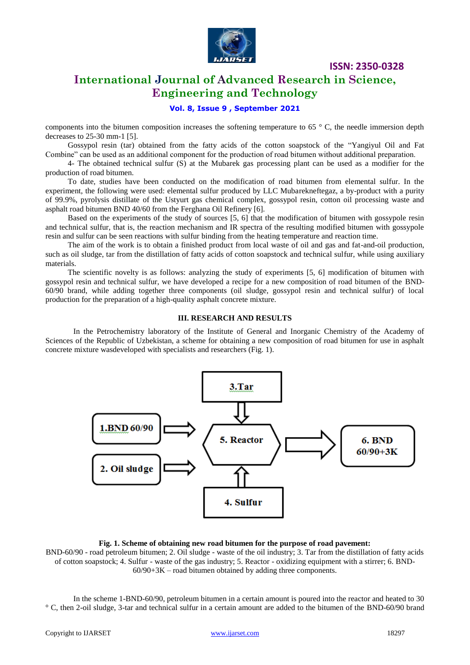

**ISSN: 2350-0328**

# **International Journal of Advanced Research in Science, Engineering and Technology**

# **Vol. 8, Issue 9 , September 2021**

components into the bitumen composition increases the softening temperature to  $65^\circ$  C, the needle immersion depth decreases to 25-30 mm-1 [5].

Gossypol resin (tar) obtained from the fatty acids of the cotton soapstock of the "Yangiyul Oil and Fat Combine" can be used as an additional component for the production of road bitumen without additional preparation.

4- The obtained technical sulfur (S) at the Mubarek gas processing plant can be used as a modifier for the production of road bitumen.

To date, studies have been conducted on the modification of road bitumen from elemental sulfur. In the experiment, the following were used: elemental sulfur produced by LLC Mubarekneftegaz, a by-product with a purity of 99.9%, pyrolysis distillate of the Ustyurt gas chemical complex, gossypol resin, cotton oil processing waste and asphalt road bitumen BND 40/60 from the Ferghana Oil Refinery [6].

Based on the experiments of the study of sources [5, 6] that the modification of bitumen with gossypole resin and technical sulfur, that is, the reaction mechanism and IR spectra of the resulting modified bitumen with gossypole resin and sulfur can be seen reactions with sulfur binding from the heating temperature and reaction time.

The aim of the work is to obtain a finished product from local waste of oil and gas and fat-and-oil production, such as oil sludge, tar from the distillation of fatty acids of cotton soapstock and technical sulfur, while using auxiliary materials.

The scientific novelty is as follows: analyzing the study of experiments [5, 6] modification of bitumen with gossypol resin and technical sulfur, we have developed a recipe for a new composition of road bitumen of the BND-60/90 brand, while adding together three components (oil sludge, gossypol resin and technical sulfur) of local production for the preparation of a high-quality asphalt concrete mixture.

#### **III. RESEARCH AND RESULTS**

In the Petrochemistry laboratory of the Institute of General and Inorganic Chemistry of the Academy of Sciences of the Republic of Uzbekistan, a scheme for obtaining a new composition of road bitumen for use in asphalt concrete mixture wasdeveloped with specialists and researchers (Fig. 1).



#### **Fig. 1. Scheme of obtaining new road bitumen for the purpose of road pavement:**

BND-60/90 - road petroleum bitumen; 2. Oil sludge - waste of the oil industry; 3. Tar from the distillation of fatty acids of cotton soapstock; 4. Sulfur - waste of the gas industry; 5. Reactor - oxidizing equipment with a stirrer; 6. BND- $60/90+3K$  – road bitumen obtained by adding three components.

In the scheme 1-BND-60/90, petroleum bitumen in a certain amount is poured into the reactor and heated to 30 ° C, then 2-oil sludge, 3-tar and technical sulfur in a certain amount are added to the bitumen of the BND-60/90 brand